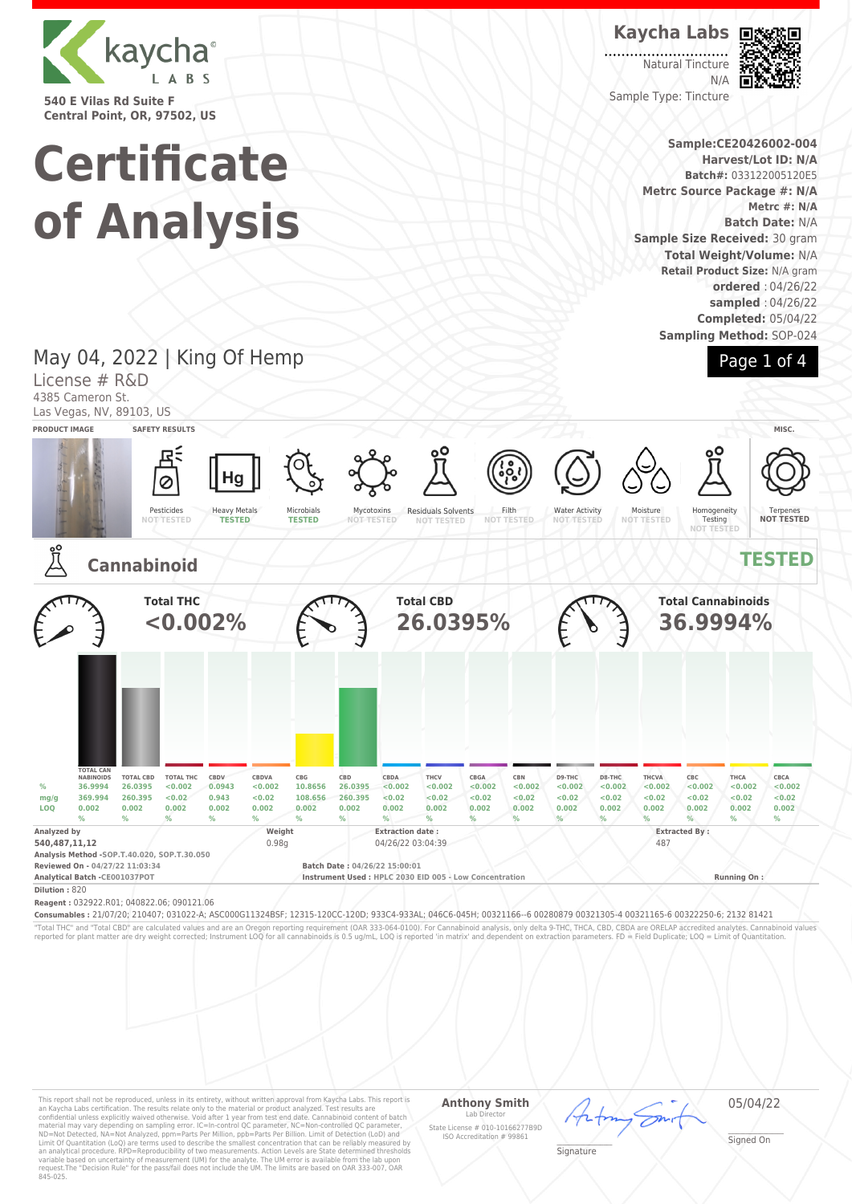

**540 E Vilas Rd Suite F Central Point, OR, 97502, US**

# **Certificate of Analysis**

## **Kaycha Labs**

Natural Tincture N/A Sample Type: Tincture



**Sample:CE20426002-004 Harvest/Lot ID: N/A Batch#:** 033122005120E5 **Metrc Source Package #: N/A Metrc #: N/A Batch Date:** N/A **Sample Size Received:** 30 gram **Total Weight/Volume:** N/A **Retail Product Size:** N/A gram **ordered** : 04/26/22 **sampled** : 04/26/22 **Completed:** 05/04/22

**Sampling Method:** SOP-024



## May 04, 2022 | King Of Hemp

License # R&D 4385 Cameron St.

Las Vegas, NV, 89103, US



"Total THC" and "Total CBD" are calculated values and are an Oregon reporting requirement (OAR 333-064-0100). For Cannabinoid analysis, only delta 9-THC, THCA, CBD, CBDA are ORELAP accredited analytes. Cannabinoid values<br>r

This report shall not be reproduced, unless in its entirety, without written approval from Kaycha Labs. This report is<br>an Kaycha Labs certification. The results relate only to the material or product analyzed. Test result

### **Anthony Smith** Lab Director

05/04/22

State License # 010-10166277B9D ISO Accreditation # 99861

\_\_\_\_\_\_\_\_\_\_\_\_\_\_\_\_\_\_\_ Signature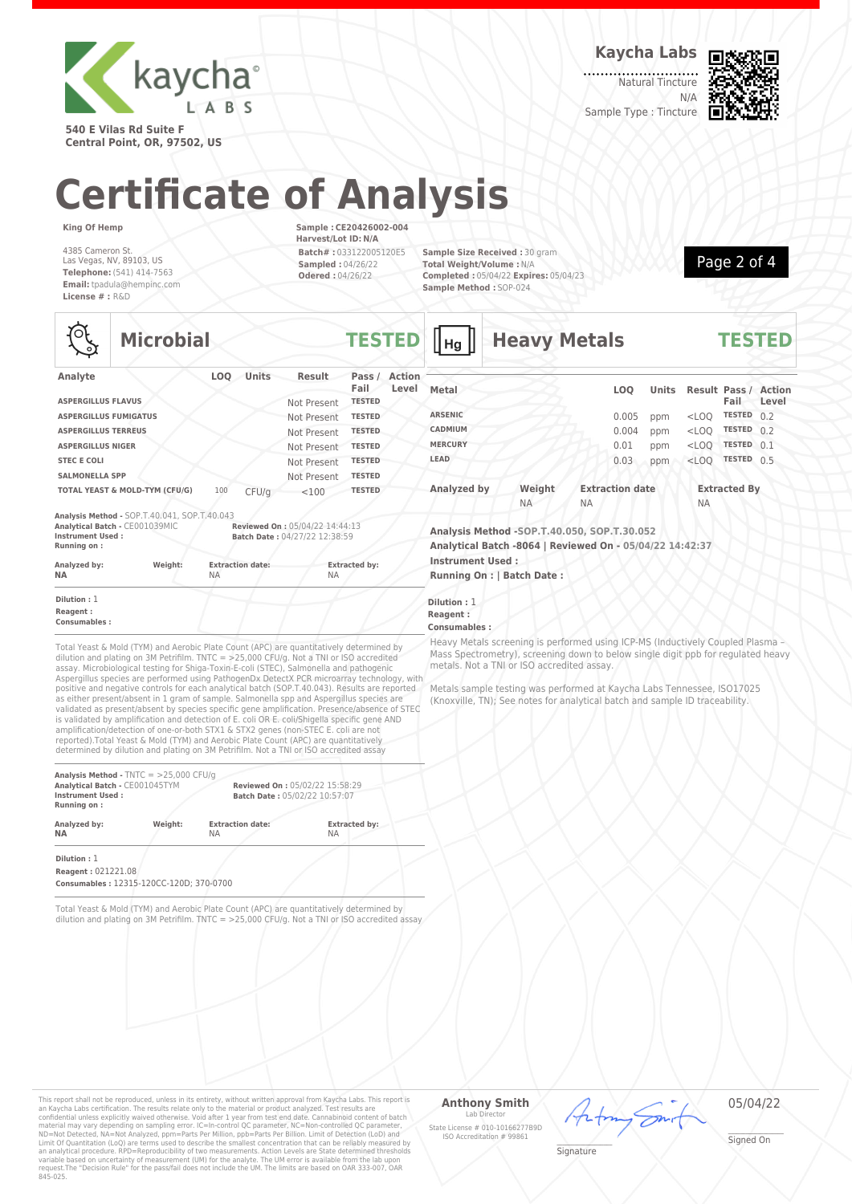

**540 E Vilas Rd Suite F Central Point, OR, 97502, US** **Kaycha Labs**

Natural Tincture N/A



Sample Type : Tincture

**Heavy Metals TESTED**

# **Certificate of Analysis**

**Microbial TESTED**

**King Of Hemp**

4385 Cameron St. Las Vegas, NV, 89103, US **Telephone:** (541) 414-7563 **Email:** tpadula@hempinc.com **License # :** R&D

**Sample : CE20426002-004 Harvest/Lot ID: N/A Batch# :** 033122005120E5 **Sampled :** 04/26/22 **Odered :** 04/26/22

**Sample Size Received :** 30 gram **Total Weight/Volume :** N/A **Completed :** 05/04/22 **Expires:** 05/04/23 **Sample Method :** SOP-024



**Analyte LOQ Units Result Pass / Fail Action Level ASPERGILLUS FLAVUS ASPERGILLUS FUMIGATUS** Not Present **TESTED ASPERGILLUS TERREUS** Not Present **TESTED ASPERGILLUS NIGER** Not Present **TESTED STEC E COLI**<br> **SALMONELLA SPP**<br>
Mot Present **TESTED SALMONELLA SPP** Not Present **TOTAL YEAST & MOLD-TYM (CFU/G)** 100 CFU/g <100 **TESTED Analysis Method -** SOP.T.40.041, SOP.T.40.043 **Analytical Batch -** CE001039MIC **Reviewed On :** 05/04/22 14:44:13<br> **Analytical Batch -** CE001039MIC **React Data** : 04/27/22 12:38:59 **Instrument Used : Batch Date :** 04/27/22 12:38:59 **Running on : Analyzed by: Weight: Extraction date: Extracted by: NA** NA NA

**Dilution :** 1 **Reagent : Consumables :**

Total Yeast & Mold (TYM) and Aerobic Plate Count (APC) are quantitatively determined by dilution and plating on 3M Petrifilm. TNTC = >25,000 CFU/g. Not a TNI or ISO accredited assay. Microbiological testing for Shiga-Toxin-E-coli (STEC), Salmonella and pathogenic Aspergillus species are performed using PathogenDx DetectX PCR microarray technology, with positive and negative controls for each analytical batch (SOP.T.40.043). Results are reported as either present/absent in 1 gram of sample. Salmonella spp and Aspergillus species are validated as present/absent by species specific gene amplification. Presence/absence of STEC is validated by amplification and detection of E. coli OR E. coli/Shigella specific gene AND amplification/detection of one-or-both STX1 & STX2 genes (non-STEC E. coli are not reported).Total Yeast & Mold (TYM) and Aerobic Plate Count (APC) are quantitatively determined by dilution and plating on 3M Petrifilm. Not a TNI or ISO accredited assay

| Analysis Method - $TNTC = 25,000 CFU/q$<br>Analytical Batch - CE001045TYM<br><b>Instrument Used:</b><br>Running on: |         |                         | Reviewed On: 05/02/22 15:58:29<br>Batch Date: 05/02/22 10:57:07 |  |  |  |
|---------------------------------------------------------------------------------------------------------------------|---------|-------------------------|-----------------------------------------------------------------|--|--|--|
| Analyzed by:                                                                                                        | Weight: | <b>Extraction date:</b> | <b>Extracted by:</b>                                            |  |  |  |
| <b>NA</b>                                                                                                           |         | <b>NA</b>               | <b>NA</b>                                                       |  |  |  |

**Dilution :** 1 **Reagent :** 021221.08

**Consumables :** 12315-120CC-120D; 370-0700

Total Yeast & Mold (TYM) and Aerobic Plate Count (APC) are quantitatively determined by dilution and plating on 3M Petrifilm. TNTC = >25,000 CFU/g. Not a TNI or ISO accredited assay

| Metal          |           |           | <b>LOO</b>             | <b>Units</b> |           | <b>Result Pass / Action</b><br>Fail | Level |
|----------------|-----------|-----------|------------------------|--------------|-----------|-------------------------------------|-------|
| <b>ARSENIC</b> |           |           | 0.005                  | ppm          | $<$ LOQ   | <b>TESTED</b>                       | 0.2   |
| <b>CADMIUM</b> |           |           | 0.004                  | ppm          | $<$ LOO   | <b>TESTED</b>                       | 0.2   |
| <b>MERCURY</b> |           |           | 0.01                   | ppm          | $<$ LOO   | <b>TESTED</b>                       | 0.1   |
| LEAD           |           |           | 0.03                   | ppm          | $<$ LOO   | <b>TESTED</b>                       | 0.5   |
| Analyzed by    | Weight    |           | <b>Extraction date</b> |              |           | <b>Extracted By</b>                 |       |
|                | <b>NA</b> | <b>NA</b> |                        |              | <b>NA</b> |                                     |       |

**Analysis Method -SOP.T.40.050, SOP.T.30.052 Analytical Batch -8064 | Reviewed On - 05/04/22 14:42:37 Instrument Used :**

**Running On : | Batch Date :**

**Dilution :** 1 **Reagent :**

 $\parallel$ на  $\parallel$ 

### **Consumables :**

Heavy Metals screening is performed using ICP-MS (Inductively Coupled Plasma – Mass Spectrometry), screening down to below single digit ppb for regulated heavy metals. Not a TNI or ISO accredited assay.

Metals sample testing was performed at Kaycha Labs Tennessee, ISO17025 (Knoxville, TN); See notes for analytical batch and sample ID traceability.

This report shall not be reproduced, unless in its entirety, without written approval from Kaycha Labs. This report is<br>an Kaycha Labs certification. The results relate only to the material or product analyzed. Test result

### **Anthony Smith** Lab Director State License # 010-10166277B9D

ISO Accreditation # 99861

05/04/22

\_\_\_\_\_\_\_\_\_\_\_\_\_\_\_\_\_\_\_ Signature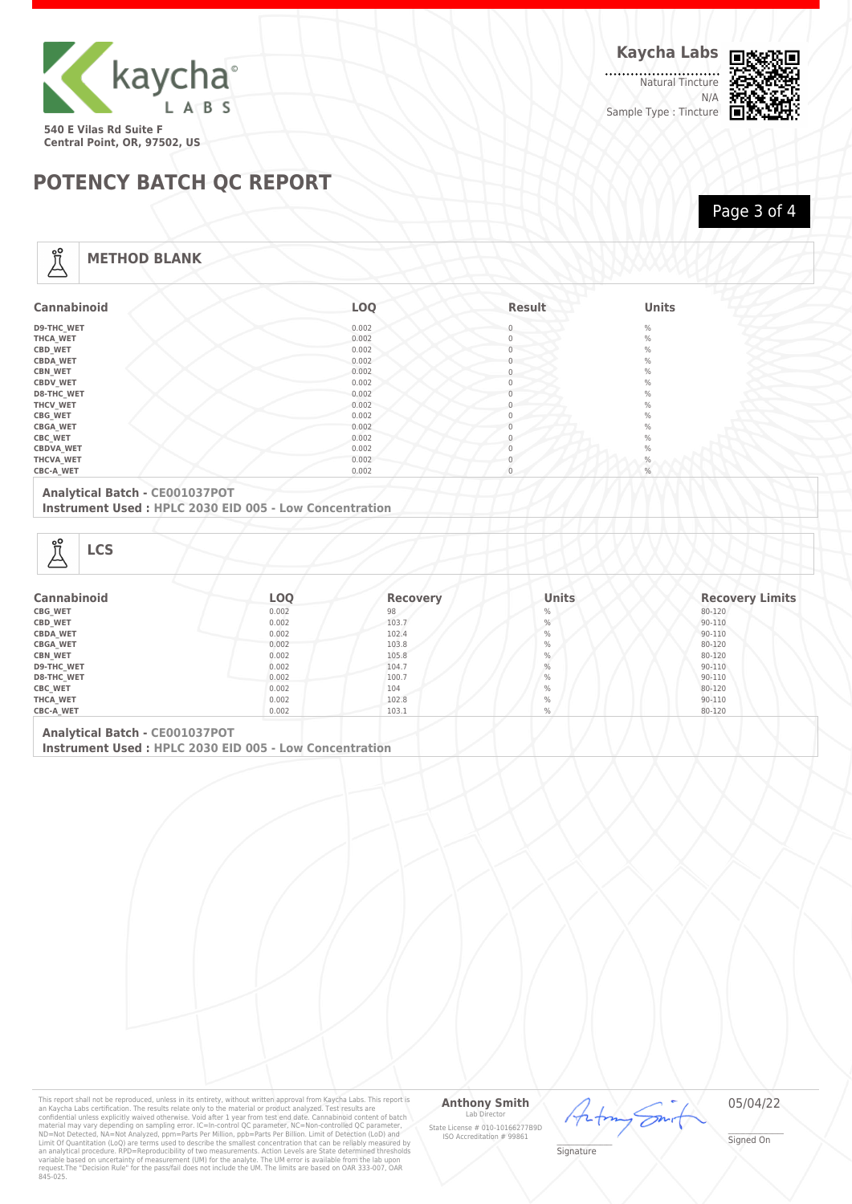

Natural Tincture . . . . . N/A Sample Type : Tincture



## **POTENCY BATCH QC REPORT**

Page 3 of 4

## **METHOD BLANK**

| <b>Cannabinoid</b> | LOQ   | <b>Result</b> | <b>Units</b> |
|--------------------|-------|---------------|--------------|
| <b>D9-THC WET</b>  | 0.002 | $\Omega$      | $\%$         |
| THCA_WET           | 0.002 | $\Omega$      | $\%$         |
| CBD_WET            | 0.002 | $\Omega$      | $\%$         |
| <b>CBDA_WET</b>    | 0.002 |               | $\%$         |
| <b>CBN_WET</b>     | 0.002 | $\Omega$      | $\%$         |
| <b>CBDV WET</b>    | 0.002 |               | $\%$         |
| D8-THC_WET         | 0.002 |               | $\%$         |
| THCV_WET           | 0.002 |               | $\%$         |
| CBG_WET            | 0.002 | $\Omega$      | $\%$         |
| <b>CBGA_WET</b>    | 0.002 |               | $\%$         |
| <b>CBC_WET</b>     | 0.002 |               | $\%$         |
| <b>CBDVA_WET</b>   | 0.002 |               | $\%$         |
| THCVA_WET          | 0.002 |               | $\%$         |
| <b>CBC-A WET</b>   | 0.002 |               | $\%$         |

## **Analytical Batch - CE001037POT**

**Instrument Used : HPLC 2030 EID 005 - Low Concentration**

Å

| <b>Cannabinoid</b> | LOQ   | <b>Recovery</b> | <b>Units</b> | <b>Recovery Limits</b> |
|--------------------|-------|-----------------|--------------|------------------------|
| CBG_WET            | 0.002 | 98<br>$\%$      |              | 80-120                 |
| CBD_WET            | 0.002 | 103.7           | $\%$         |                        |
| <b>CBDA WET</b>    | 0.002 | 102.4           | $\%$         | 90-110                 |
| <b>CBGA_WET</b>    | 0.002 | 103.8           | $\%$         | 80-120                 |
| <b>CBN WET</b>     | 0.002 | 105.8           | $\%$         | 80-120                 |
| <b>D9-THC WET</b>  | 0.002 | $\%$<br>104.7   |              | 90-110                 |
| <b>D8-THC WET</b>  | 0.002 | 100.7           | $\%$         | 90-110                 |
| <b>CBC WET</b>     | 0.002 | 104             | $\%$         | 80-120                 |
| THCA WET           | 0.002 | 102.8           | $\%$         | 90-110                 |
| <b>CBC-A WET</b>   | 0.002 | 103.1           | $\%$         | 80-120                 |

**Analytical Batch - CE001037POT Instrument Used : HPLC 2030 EID 005 - Low Concentration**

This report shall not be reproduced, unless in its entirety, without written approval from Kaycha Labs. This report is<br>an Kaycha Labs certification. The results relate only to the material or product analyzed. Test result

#### **Anthony Smith** Lab D

State License # 010-10166277B9D ISO Accreditation # 99861

05/04/22

Ön

\_\_\_\_\_\_\_\_\_\_\_\_\_\_\_\_\_\_\_ Signature

<sup>L</sup>